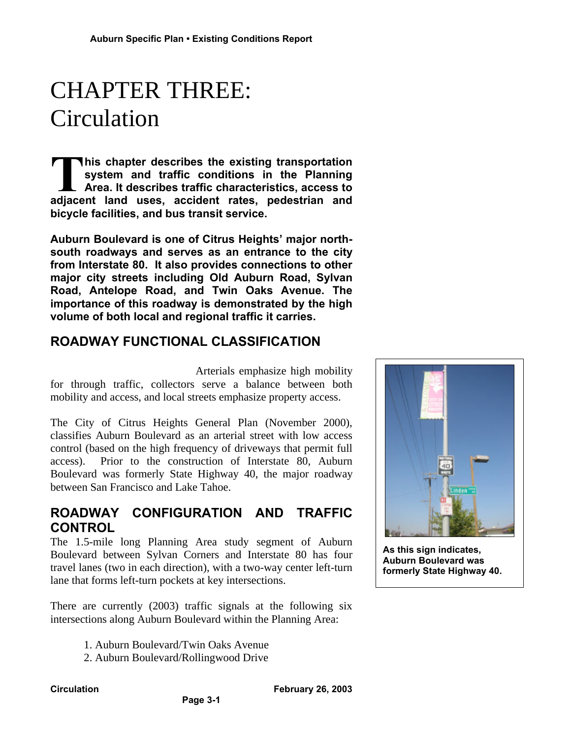# CHAPTER THREE: Circulation

**his chapter describes the existing transportation system and traffic conditions in the Planning Area. It describes traffic characteristics, access to** This chapter describes the existing transportation system and traffic conditions in the Planning Area. It describes traffic characteristics, access to adjacent land uses, accident rates, pedestrian and **bicycle facilities, and bus transit service.**

**Auburn Boulevard is one of Citrus Heights' major northsouth roadways and serves as an entrance to the city from Interstate 80. It also provides connections to other major city streets including Old Auburn Road, Sylvan Road, Antelope Road, and Twin Oaks Avenue. The importance of this roadway is demonstrated by the high volume of both local and regional traffic it carries.**

# **ROADWAY FUNCTIONAL CLASSIFICATION**

Arterials emphasize high mobility for through traffic, collectors serve a balance between both mobility and access, and local streets emphasize property access.

The City of Citrus Heights General Plan (November 2000), classifies Auburn Boulevard as an arterial street with low access control (based on the high frequency of driveways that permit full access). Prior to the construction of Interstate 80, Auburn Boulevard was formerly State Highway 40, the major roadway between San Francisco and Lake Tahoe.

### **ROADWAY CONFIGURATION AND TRAFFIC CONTROL**

The 1.5-mile long Planning Area study segment of Auburn Boulevard between Sylvan Corners and Interstate 80 has four travel lanes (two in each direction), with a two-way center left-turn lane that forms left-turn pockets at key intersections.

There are currently (2003) traffic signals at the following six intersections along Auburn Boulevard within the Planning Area:

**Page 3-1**

- 1. Auburn Boulevard/Twin Oaks Avenue
- 2. Auburn Boulevard/Rollingwood Drive



**As this sign indicates, Auburn Boulevard was formerly State Highway 40.**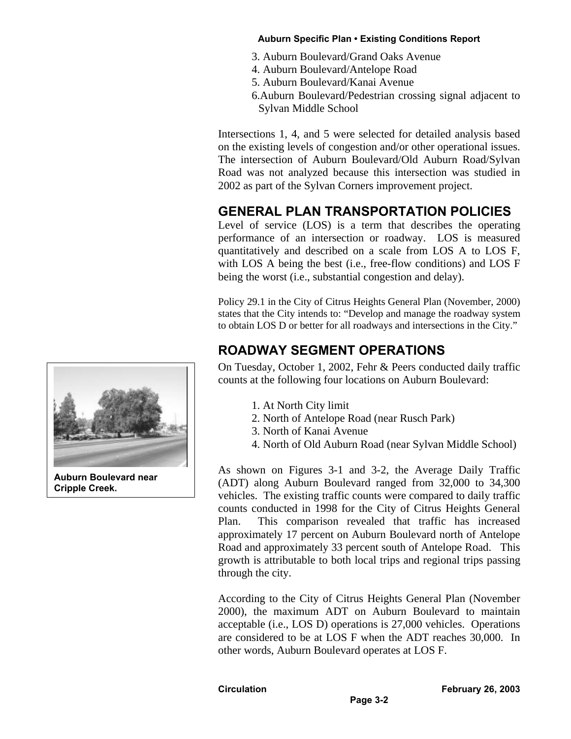- 3. Auburn Boulevard/Grand Oaks Avenue
- 4. Auburn Boulevard/Antelope Road
- 5. Auburn Boulevard/Kanai Avenue
- 6.Auburn Boulevard/Pedestrian crossing signal adjacent to Sylvan Middle School

Intersections 1, 4, and 5 were selected for detailed analysis based on the existing levels of congestion and/or other operational issues. The intersection of Auburn Boulevard/Old Auburn Road/Sylvan Road was not analyzed because this intersection was studied in 2002 as part of the Sylvan Corners improvement project.

# **GENERAL PLAN TRANSPORTATION POLICIES**

Level of service (LOS) is a term that describes the operating performance of an intersection or roadway. LOS is measured quantitatively and described on a scale from LOS A to LOS F, with LOS A being the best (i.e., free-flow conditions) and LOS F being the worst (i.e., substantial congestion and delay).

Policy 29.1 in the City of Citrus Heights General Plan (November, 2000) states that the City intends to: "Develop and manage the roadway system to obtain LOS D or better for all roadways and intersections in the City."

# **ROADWAY SEGMENT OPERATIONS**

On Tuesday, October 1, 2002, Fehr & Peers conducted daily traffic counts at the following four locations on Auburn Boulevard:

- 1. At North City limit
- 2. North of Antelope Road (near Rusch Park)
- 3. North of Kanai Avenue
- 4. North of Old Auburn Road (near Sylvan Middle School)

As shown on Figures 3-1 and 3-2, the Average Daily Traffic (ADT) along Auburn Boulevard ranged from 32,000 to 34,300 vehicles. The existing traffic counts were compared to daily traffic counts conducted in 1998 for the City of Citrus Heights General Plan. This comparison revealed that traffic has increased approximately 17 percent on Auburn Boulevard north of Antelope Road and approximately 33 percent south of Antelope Road. This growth is attributable to both local trips and regional trips passing through the city.

According to the City of Citrus Heights General Plan (November 2000), the maximum ADT on Auburn Boulevard to maintain acceptable (i.e., LOS D) operations is 27,000 vehicles. Operations are considered to be at LOS F when the ADT reaches 30,000. In other words, Auburn Boulevard operates at LOS F.



**Auburn Boulevard near Cripple Creek.**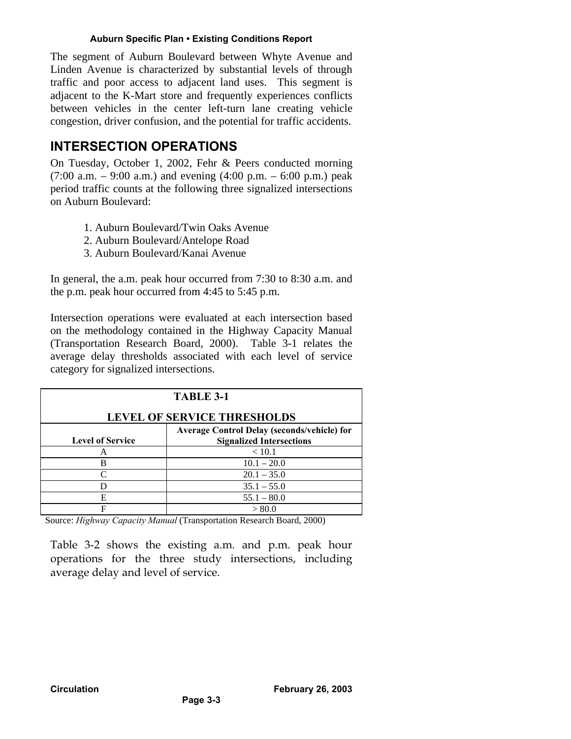The segment of Auburn Boulevard between Whyte Avenue and Linden Avenue is characterized by substantial levels of through traffic and poor access to adjacent land uses. This segment is adjacent to the K-Mart store and frequently experiences conflicts between vehicles in the center left-turn lane creating vehicle congestion, driver confusion, and the potential for traffic accidents.

### **INTERSECTION OPERATIONS**

On Tuesday, October 1, 2002, Fehr & Peers conducted morning  $(7:00$  a.m.  $-9:00$  a.m.) and evening  $(4:00$  p.m.  $-6:00$  p.m.) peak period traffic counts at the following three signalized intersections on Auburn Boulevard:

- 1. Auburn Boulevard/Twin Oaks Avenue
- 2. Auburn Boulevard/Antelope Road
- 3. Auburn Boulevard/Kanai Avenue

In general, the a.m. peak hour occurred from 7:30 to 8:30 a.m. and the p.m. peak hour occurred from 4:45 to 5:45 p.m.

Intersection operations were evaluated at each intersection based on the methodology contained in the Highway Capacity Manual (Transportation Research Board, 2000). Table 3-1 relates the average delay thresholds associated with each level of service category for signalized intersections.

| <b>TABLE 3-1</b>                            |                                 |  |  |  |
|---------------------------------------------|---------------------------------|--|--|--|
| <b>LEVEL OF SERVICE THRESHOLDS</b>          |                                 |  |  |  |
| Average Control Delay (seconds/vehicle) for |                                 |  |  |  |
| <b>Level of Service</b>                     | <b>Signalized Intersections</b> |  |  |  |
| А                                           | < 10.1                          |  |  |  |
| B                                           | $10.1 - 20.0$                   |  |  |  |
| C                                           | $20.1 - 35.0$                   |  |  |  |
| D                                           | $35.1 - 55.0$                   |  |  |  |
| E                                           | $55.1 - 80.0$                   |  |  |  |
| F                                           | > 80.0                          |  |  |  |

Source: *Highway Capacity Manual* (Transportation Research Board, 2000)

Table 3-2 shows the existing a.m. and p.m. peak hour operations for the three study intersections, including average delay and level of service.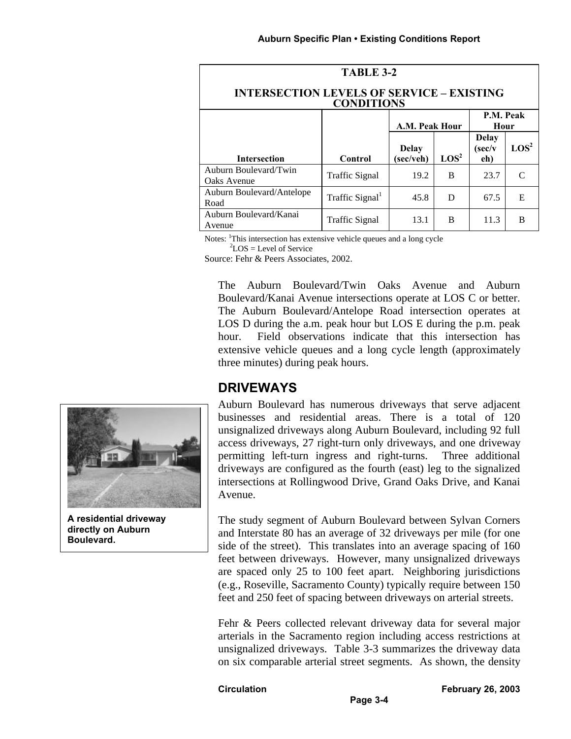| TABLE 3-2                                                             |                             |                           |                  |                                                |                  |  |
|-----------------------------------------------------------------------|-----------------------------|---------------------------|------------------|------------------------------------------------|------------------|--|
| <b>INTERSECTION LEVELS OF SERVICE - EXISTING</b><br><b>CONDITIONS</b> |                             |                           |                  |                                                |                  |  |
|                                                                       |                             | A.M. Peak Hour            |                  | P.M. Peak<br>Hour                              |                  |  |
| <b>Intersection</b>                                                   | Control                     | <b>Delay</b><br>(sec/veh) | $\mathbf{LOS}^2$ | <b>Delay</b><br>$(\text{sec}/\text{v})$<br>eh) | LOS <sup>2</sup> |  |
| Auburn Boulevard/Twin<br>Oaks Avenue                                  | Traffic Signal              | 19.2                      | B                | 23.7                                           |                  |  |
| Auburn Boulevard/Antelope<br>Road                                     | Traffic Signal <sup>1</sup> | 45.8                      | D                | 67.5                                           | E                |  |
| Auburn Boulevard/Kanai<br>Avenue                                      | Traffic Signal              | 13.1                      | B                | 11.3                                           | в                |  |

Notes: <sup>1</sup>This intersection has extensive vehicle queues and a long cycle  $^{2}$ LOS = Level of Service

Source: Fehr & Peers Associates, 2002.

The Auburn Boulevard/Twin Oaks Avenue and Auburn Boulevard/Kanai Avenue intersections operate at LOS C or better. The Auburn Boulevard/Antelope Road intersection operates at LOS D during the a.m. peak hour but LOS E during the p.m. peak hour. Field observations indicate that this intersection has extensive vehicle queues and a long cycle length (approximately three minutes) during peak hours.

### **DRIVEWAYS**

Auburn Boulevard has numerous driveways that serve adjacent businesses and residential areas. There is a total of 120 unsignalized driveways along Auburn Boulevard, including 92 full access driveways, 27 right-turn only driveways, and one driveway permitting left-turn ingress and right-turns. Three additional driveways are configured as the fourth (east) leg to the signalized intersections at Rollingwood Drive, Grand Oaks Drive, and Kanai Avenue.

The study segment of Auburn Boulevard between Sylvan Corners and Interstate 80 has an average of 32 driveways per mile (for one side of the street). This translates into an average spacing of 160 feet between driveways. However, many unsignalized driveways are spaced only 25 to 100 feet apart. Neighboring jurisdictions (e.g., Roseville, Sacramento County) typically require between 150 feet and 250 feet of spacing between driveways on arterial streets.

Fehr & Peers collected relevant driveway data for several major arterials in the Sacramento region including access restrictions at unsignalized driveways. Table 3-3 summarizes the driveway data on six comparable arterial street segments. As shown, the density



**A residential driveway directly on Auburn Boulevard.**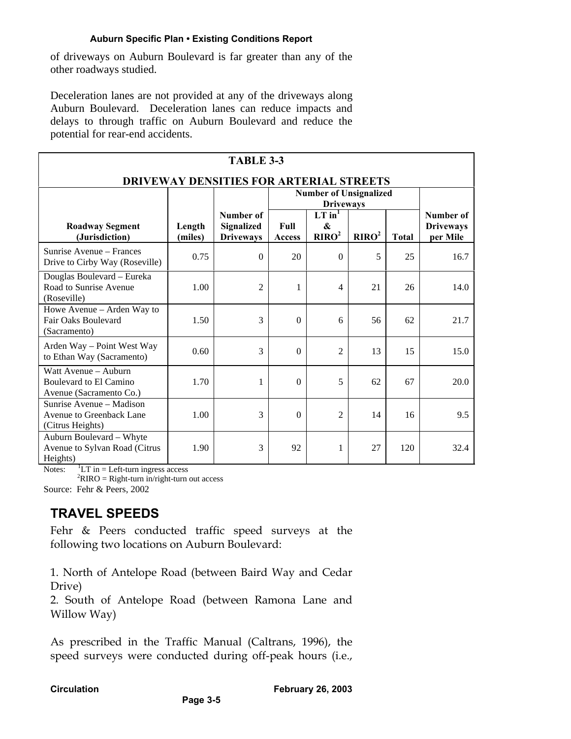of driveways on Auburn Boulevard is far greater than any of the other roadways studied.

Deceleration lanes are not provided at any of the driveways along Auburn Boulevard. Deceleration lanes can reduce impacts and delays to through traffic on Auburn Boulevard and reduce the potential for rear-end accidents.

| <b>TABLE 3-3</b>                                                          |                   |                                |                                                   |                        |                   |              |                              |
|---------------------------------------------------------------------------|-------------------|--------------------------------|---------------------------------------------------|------------------------|-------------------|--------------|------------------------------|
| <b>DRIVEWAY DENSITIES FOR ARTERIAL STREETS</b>                            |                   |                                |                                                   |                        |                   |              |                              |
|                                                                           |                   |                                | <b>Number of Unsignalized</b><br><b>Driveways</b> |                        |                   |              |                              |
|                                                                           |                   | Number of                      |                                                   | $LT$ in <sup>1</sup>   |                   |              | Number of                    |
| <b>Roadway Segment</b><br>(Jurisdiction)                                  | Length<br>(miles) | Signalized<br><b>Driveways</b> | Full<br><b>Access</b>                             | &<br>RIRO <sup>2</sup> | RIRO <sup>2</sup> | <b>Total</b> | <b>Driveways</b><br>per Mile |
| Sunrise Avenue – Frances<br>Drive to Cirby Way (Roseville)                | 0.75              | $\Omega$                       | 20                                                | $\Omega$               | 5                 | 25           | 16.7                         |
| Douglas Boulevard - Eureka<br>Road to Sunrise Avenue<br>(Roseville)       | 1.00              | $\overline{2}$                 | 1                                                 | 4                      | 21                | 26           | 14.0                         |
| Howe Avenue – Arden Way to<br>Fair Oaks Boulevard<br>(Sacramento)         | 1.50              | 3                              | $\theta$                                          | 6                      | 56                | 62           | 21.7                         |
| Arden Way - Point West Way<br>to Ethan Way (Sacramento)                   | 0.60              | 3                              | $\theta$                                          | $\overline{2}$         | 13                | 15           | 15.0                         |
| Watt Avenue - Auburn<br>Boulevard to El Camino<br>Avenue (Sacramento Co.) | 1.70              | 1                              | $\theta$                                          | 5                      | 62                | 67           | 20.0                         |
| Sunrise Avenue - Madison<br>Avenue to Greenback Lane<br>(Citrus Heights)  | 1.00              | 3                              | $\theta$                                          | 2                      | 14                | 16           | 9.5                          |
| Auburn Boulevard - Whyte<br>Avenue to Sylvan Road (Citrus<br>Heights)     | 1.90              | 3                              | 92                                                | 1                      | 27                | 120          | 32.4                         |

Notes:  ${}^{1}LT$  in = Left-turn ingress access

 ${}^{2}$ RIRO = Right-turn in/right-turn out access

Source: Fehr & Peers, 2002

### **TRAVEL SPEEDS**

Fehr & Peers conducted traffic speed surveys at the following two locations on Auburn Boulevard:

1. North of Antelope Road (between Baird Way and Cedar Drive)

2. South of Antelope Road (between Ramona Lane and Willow Way)

As prescribed in the Traffic Manual (Caltrans, 1996), the speed surveys were conducted during off-peak hours (i.e.,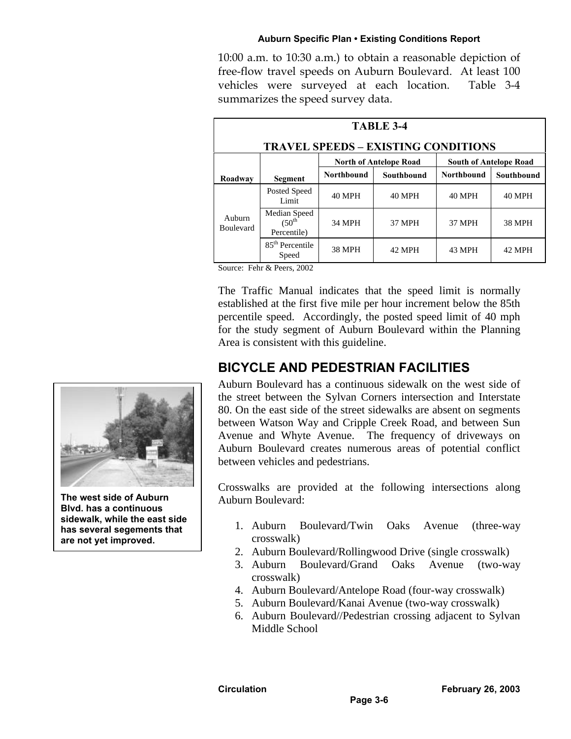10:00 a.m. to 10:30 a.m.) to obtain a reasonable depiction of free-flow travel speeds on Auburn Boulevard. At least 100 vehicles were surveyed at each location. Table 3-4 summarizes the speed survey data.

| <b>TABLE 3-4</b>           |                                                                                                              |                   |               |                   |               |
|----------------------------|--------------------------------------------------------------------------------------------------------------|-------------------|---------------|-------------------|---------------|
|                            | <b>TRAVEL SPEEDS - EXISTING CONDITIONS</b><br><b>North of Antelope Road</b><br><b>South of Antelope Road</b> |                   |               |                   |               |
| Roadway                    | <b>Segment</b>                                                                                               | <b>Northbound</b> | Southbound    | <b>Northbound</b> | Southbound    |
|                            | Posted Speed<br>Limit                                                                                        | <b>40 MPH</b>     | <b>40 MPH</b> | <b>40 MPH</b>     | <b>40 MPH</b> |
| Auburn<br><b>Boulevard</b> | Median Speed<br>$(50th)$<br>Percentile)                                                                      | <b>34 MPH</b>     | 37 MPH        | 37 MPH            | <b>38 MPH</b> |
|                            | 85 <sup>th</sup> Percentile<br>Speed                                                                         | <b>38 MPH</b>     | <b>42 MPH</b> | <b>43 MPH</b>     | <b>42 MPH</b> |

Source: Fehr & Peers, 2002

The Traffic Manual indicates that the speed limit is normally established at the first five mile per hour increment below the 85th percentile speed. Accordingly, the posted speed limit of 40 mph for the study segment of Auburn Boulevard within the Planning Area is consistent with this guideline.

# **BICYCLE AND PEDESTRIAN FACILITIES**

Auburn Boulevard has a continuous sidewalk on the west side of the street between the Sylvan Corners intersection and Interstate 80. On the east side of the street sidewalks are absent on segments between Watson Way and Cripple Creek Road, and between Sun Avenue and Whyte Avenue. The frequency of driveways on Auburn Boulevard creates numerous areas of potential conflict between vehicles and pedestrians.

Crosswalks are provided at the following intersections along Auburn Boulevard:

- 1. Auburn Boulevard/Twin Oaks Avenue (three-way crosswalk)
- 2. Auburn Boulevard/Rollingwood Drive (single crosswalk)
- 3. Auburn Boulevard/Grand Oaks Avenue (two-way crosswalk)
- 4. Auburn Boulevard/Antelope Road (four-way crosswalk)
- 5. Auburn Boulevard/Kanai Avenue (two-way crosswalk)
- 6. Auburn Boulevard//Pedestrian crossing adjacent to Sylvan Middle School



**The west side of Auburn Blvd. has a continuous sidewalk, while the east side has several segements that are not yet improved.**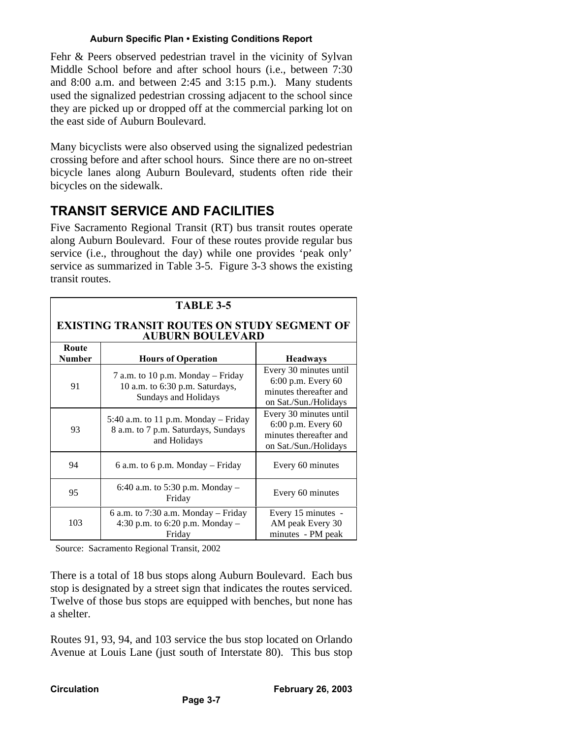Fehr & Peers observed pedestrian travel in the vicinity of Sylvan Middle School before and after school hours (i.e., between 7:30 and 8:00 a.m. and between 2:45 and 3:15 p.m.). Many students used the signalized pedestrian crossing adjacent to the school since they are picked up or dropped off at the commercial parking lot on the east side of Auburn Boulevard.

Many bicyclists were also observed using the signalized pedestrian crossing before and after school hours. Since there are no on-street bicycle lanes along Auburn Boulevard, students often ride their bicycles on the sidewalk.

# **TRANSIT SERVICE AND FACILITIES**

Five Sacramento Regional Transit (RT) bus transit routes operate along Auburn Boulevard. Four of these routes provide regular bus service (i.e., throughout the day) while one provides 'peak only' service as summarized in Table 3-5. Figure 3-3 shows the existing transit routes.

| <b>TABLE 3-5</b>                                                              |                                                                                                     |                                                                                                 |  |  |  |
|-------------------------------------------------------------------------------|-----------------------------------------------------------------------------------------------------|-------------------------------------------------------------------------------------------------|--|--|--|
| <b>EXISTING TRANSIT ROUTES ON STUDY SEGMENT OF</b><br><b>AUBURN BOULEVARD</b> |                                                                                                     |                                                                                                 |  |  |  |
| Route<br><b>Number</b>                                                        | <b>Hours of Operation</b>                                                                           | <b>Headways</b>                                                                                 |  |  |  |
| 91                                                                            | 7 a.m. to 10 p.m. Monday – Friday<br>10 a.m. to 6:30 p.m. Saturdays,<br><b>Sundays and Holidays</b> | Every 30 minutes until<br>6:00 p.m. Every 60<br>minutes thereafter and<br>on Sat./Sun./Holidays |  |  |  |
| 93                                                                            | 5:40 a.m. to 11 p.m. Monday - Friday<br>8 a.m. to 7 p.m. Saturdays, Sundays<br>and Holidays         | Every 30 minutes until<br>6:00 p.m. Every 60<br>minutes thereafter and<br>on Sat./Sun./Holidays |  |  |  |
| 94                                                                            | 6 a.m. to 6 p.m. Monday $-$ Friday                                                                  | Every 60 minutes                                                                                |  |  |  |
| 95                                                                            | 6:40 a.m. to 5:30 p.m. Monday $-$<br>Friday                                                         | Every 60 minutes                                                                                |  |  |  |
| 103                                                                           | 6 a.m. to 7:30 a.m. Monday $-$ Friday<br>4:30 p.m. to $6:20$ p.m. Monday –<br>Friday                | Every 15 minutes -<br>AM peak Every 30<br>minutes - PM peak                                     |  |  |  |

Source: Sacramento Regional Transit, 2002

There is a total of 18 bus stops along Auburn Boulevard. Each bus stop is designated by a street sign that indicates the routes serviced. Twelve of those bus stops are equipped with benches, but none has a shelter.

Routes 91, 93, 94, and 103 service the bus stop located on Orlando Avenue at Louis Lane (just south of Interstate 80). This bus stop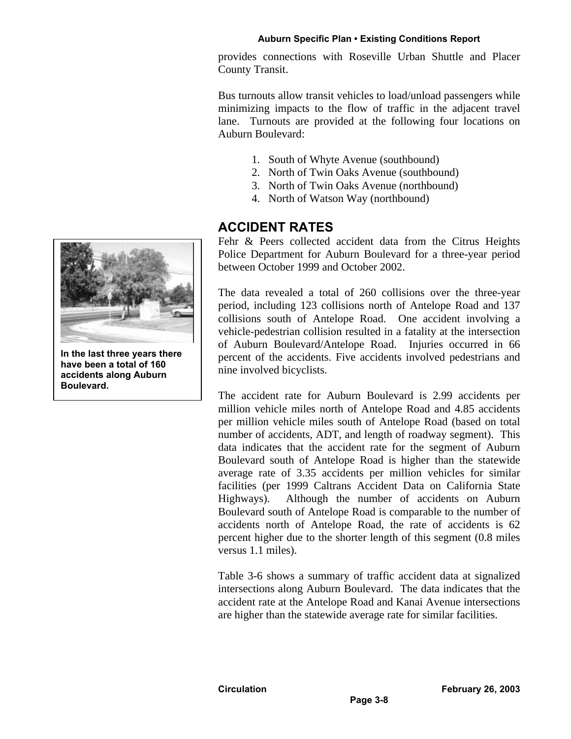provides connections with Roseville Urban Shuttle and Placer County Transit.

Bus turnouts allow transit vehicles to load/unload passengers while minimizing impacts to the flow of traffic in the adjacent travel lane. Turnouts are provided at the following four locations on Auburn Boulevard:

- 1. South of Whyte Avenue (southbound)
- 2. North of Twin Oaks Avenue (southbound)
- 3. North of Twin Oaks Avenue (northbound)
- 4. North of Watson Way (northbound)

# **ACCIDENT RATES**

Fehr & Peers collected accident data from the Citrus Heights Police Department for Auburn Boulevard for a three-year period between October 1999 and October 2002.

The data revealed a total of 260 collisions over the three-year period, including 123 collisions north of Antelope Road and 137 collisions south of Antelope Road. One accident involving a vehicle-pedestrian collision resulted in a fatality at the intersection of Auburn Boulevard/Antelope Road. Injuries occurred in 66 percent of the accidents. Five accidents involved pedestrians and nine involved bicyclists.

The accident rate for Auburn Boulevard is 2.99 accidents per million vehicle miles north of Antelope Road and 4.85 accidents per million vehicle miles south of Antelope Road (based on total number of accidents, ADT, and length of roadway segment). This data indicates that the accident rate for the segment of Auburn Boulevard south of Antelope Road is higher than the statewide average rate of 3.35 accidents per million vehicles for similar facilities (per 1999 Caltrans Accident Data on California State Highways). Although the number of accidents on Auburn Boulevard south of Antelope Road is comparable to the number of accidents north of Antelope Road, the rate of accidents is 62 percent higher due to the shorter length of this segment (0.8 miles versus 1.1 miles).

Table 3-6 shows a summary of traffic accident data at signalized intersections along Auburn Boulevard. The data indicates that the accident rate at the Antelope Road and Kanai Avenue intersections are higher than the statewide average rate for similar facilities.



**In the last three years there have been a total of 160 accidents along Auburn Boulevard.**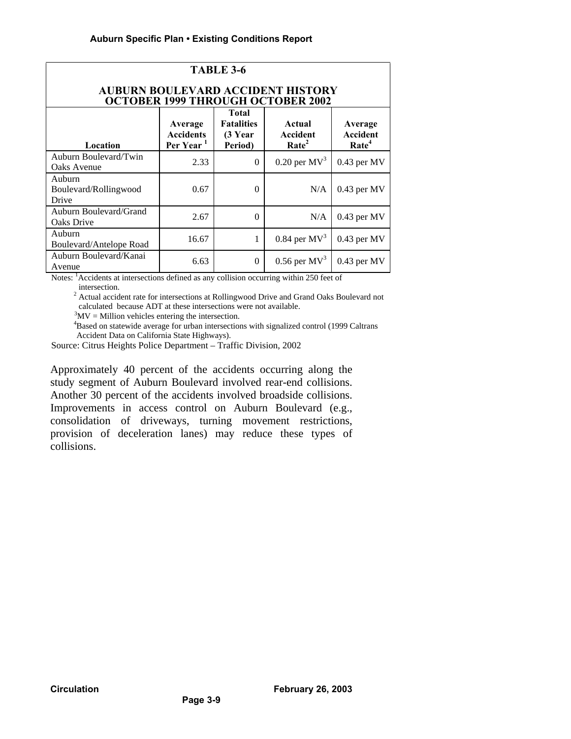| TABLE 3-6                                                                            |                                                      |                                                         |                                         |                                          |  |  |
|--------------------------------------------------------------------------------------|------------------------------------------------------|---------------------------------------------------------|-----------------------------------------|------------------------------------------|--|--|
| <b>AUBURN BOULEVARD ACCIDENT HISTORY</b><br><b>OCTOBER 1999 THROUGH OCTOBER 2002</b> |                                                      |                                                         |                                         |                                          |  |  |
| Location                                                                             | Average<br><b>Accidents</b><br>Per Year <sup>1</sup> | <b>Total</b><br><b>Fatalities</b><br>(3 Year<br>Period) | Actual<br>Accident<br>Rate <sup>2</sup> | Average<br>Accident<br>Rate <sup>4</sup> |  |  |
| Auburn Boulevard/Twin<br>Oaks Avenue                                                 | 2.33                                                 | $\theta$                                                | $0.20$ per $MV^3$                       | $0.43$ per MV                            |  |  |
| Auburn<br>Boulevard/Rollingwood<br>Drive                                             | 0.67                                                 | $\theta$                                                | N/A                                     | $0.43$ per MV                            |  |  |
| Auburn Boulevard/Grand<br>Oaks Drive                                                 | 2.67                                                 | $\theta$                                                | N/A                                     | $0.43$ per MV                            |  |  |
| Auburn<br>Boulevard/Antelope Road                                                    | 16.67                                                | 1                                                       | $0.84$ per MV <sup>3</sup>              | $0.43$ per MV                            |  |  |
| Auburn Boulevard/Kanai<br>Avenue                                                     | 6.63                                                 | $\theta$                                                | $0.56$ per $MV^3$                       | $0.43$ per MV                            |  |  |

Notes: <sup>1</sup>Accidents at intersections defined as any collision occurring within 250 feet of intersection.

<sup>2</sup> Actual accident rate for intersections at Rollingwood Drive and Grand Oaks Boulevard not calculated because ADT at these intersections were not available.

 $3MV =$  Million vehicles entering the intersection.

<sup>4</sup>Based on statewide average for urban intersections with signalized control (1999 Caltrans Accident Data on California State Highways).

Source: Citrus Heights Police Department – Traffic Division, 2002

Approximately 40 percent of the accidents occurring along the study segment of Auburn Boulevard involved rear-end collisions. Another 30 percent of the accidents involved broadside collisions. Improvements in access control on Auburn Boulevard (e.g., consolidation of driveways, turning movement restrictions, provision of deceleration lanes) may reduce these types of collisions.